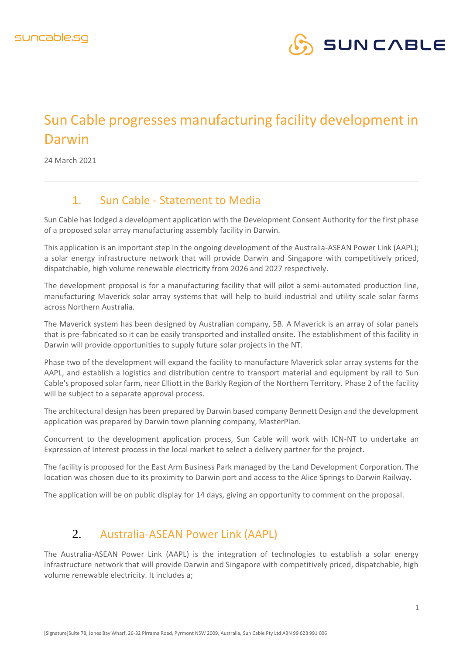

## Sun Cable progresses manufacturing facility development in Darwin

24 March 2021

## 1. Sun Cable - Statement to Media

Sun Cable has lodged a development application with the Development Consent Authority for the first phase of a proposed solar array manufacturing assembly facility in Darwin.

This application is an important step in the ongoing development of the Australia-ASEAN Power Link (AAPL); a solar energy infrastructure network that will provide Darwin and Singapore with competitively priced, dispatchable, high volume renewable electricity from 2026 and 2027 respectively.

The development proposal is for a manufacturing facility that will pilot a semi-automated production line, manufacturing Maverick solar array systems that will help to build industrial and utility scale solar farms across Northern Australia.

The Maverick system has been designed by Australian company, 5B. A Maverick is an array of solar panels that is pre-fabricated so it can be easily transported and installed onsite. The establishment of this facility in Darwin will provide opportunities to supply future solar projects in the NT.

Phase two of the development will expand the facility to manufacture Maverick solar array systems for the AAPL, and establish a logistics and distribution centre to transport material and equipment by rail to Sun Cable's proposed solar farm, near Elliott in the Barkly Region of the Northern Territory. Phase 2 of the facility will be subject to a separate approval process.

The architectural design has been prepared by Darwin based company Bennett Design and the development application was prepared by Darwin town planning company, MasterPlan.

Concurrent to the development application process, Sun Cable will work with ICN-NT to undertake an Expression of Interest process in the local market to select a delivery partner for the project.

The facility is proposed for the East Arm Business Park managed by the Land Development Corporation. The location was chosen due to its proximity to Darwin port and access to the Alice Springs to Darwin Railway.

The application will be on public display for 14 days, giving an opportunity to comment on the proposal.

## 2. Australia-ASEAN Power Link (AAPL)

The Australia-ASEAN Power Link (AAPL) is the integration of technologies to establish a solar energy infrastructure network that will provide Darwin and Singapore with competitively priced, dispatchable, high volume renewable electricity. It includes a;